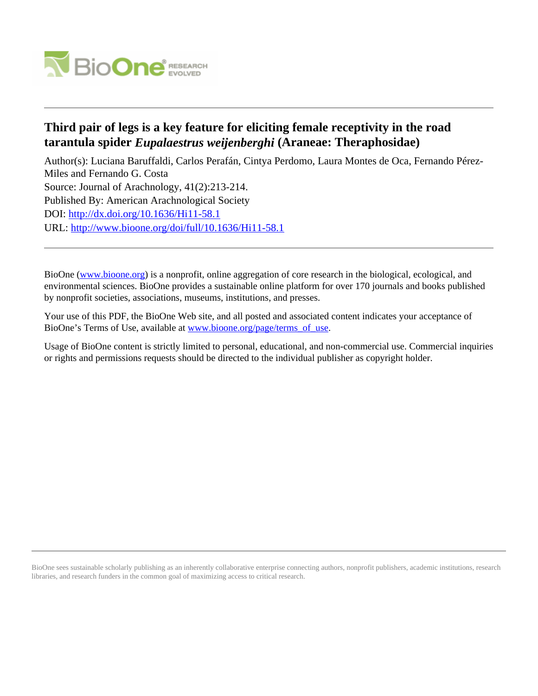

# **Third pair of legs is a key feature for eliciting female receptivity in the road tarantula spider** *Eupalaestrus weijenberghi* **(Araneae: Theraphosidae)**

Author(s): Luciana Baruffaldi, Carlos Perafán, Cintya Perdomo, Laura Montes de Oca, Fernando Pérez-Miles and Fernando G. Costa Source: Journal of Arachnology, 41(2):213-214. Published By: American Arachnological Society DOI:<http://dx.doi.org/10.1636/Hi11-58.1> URL: <http://www.bioone.org/doi/full/10.1636/Hi11-58.1>

BioOne [\(www.bioone.org\)](http://www.bioone.org) is a nonprofit, online aggregation of core research in the biological, ecological, and environmental sciences. BioOne provides a sustainable online platform for over 170 journals and books published by nonprofit societies, associations, museums, institutions, and presses.

Your use of this PDF, the BioOne Web site, and all posted and associated content indicates your acceptance of BioOne's Terms of Use, available at [www.bioone.org/page/terms\\_of\\_use.](http://www.bioone.org/page/terms_of_use)

Usage of BioOne content is strictly limited to personal, educational, and non-commercial use. Commercial inquiries or rights and permissions requests should be directed to the individual publisher as copyright holder.

BioOne sees sustainable scholarly publishing as an inherently collaborative enterprise connecting authors, nonprofit publishers, academic institutions, research libraries, and research funders in the common goal of maximizing access to critical research.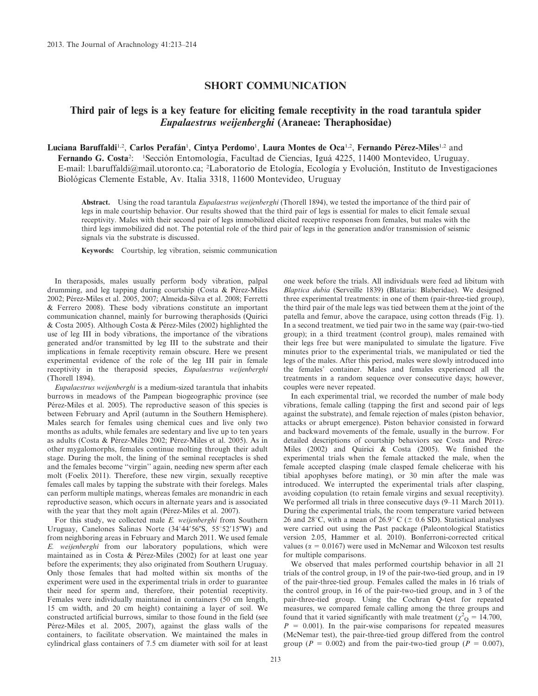### SHORT COMMUNICATION

## Third pair of legs is a key feature for eliciting female receptivity in the road tarantula spider Eupalaestrus weijenberghi (Araneae: Theraphosidae)

Luciana Baruffaldi<sup>1,2</sup>, Carlos Perafán<sup>1</sup>, Cintya Perdomo<sup>1</sup>, Laura Montes de Oca<sup>1,2</sup>, Fernando Pérez-Miles<sup>1,2</sup> and Fernando G. Costa<sup>2</sup>: <sup>1</sup> Sección Entomología, Facultad de Ciencias, Iguá 4225, 11400 Montevideo, Uruguay. E-mail: l.baruffaldi@mail.utoronto.ca; <sup>2</sup>Laboratorio de Etología, Ecología y Evolución, Instituto de Investigaciones Biológicas Clemente Estable, Av. Italia 3318, 11600 Montevideo, Uruguay

Abstract. Using the road tarantula *Eupalaestrus weijenberghi* (Thorell 1894), we tested the importance of the third pair of legs in male courtship behavior. Our results showed that the third pair of legs is essential for males to elicit female sexual receptivity. Males with their second pair of legs immobilized elicited receptive responses from females, but males with the third legs immobilized did not. The potential role of the third pair of legs in the generation and/or transmission of seismic signals via the substrate is discussed.

Keywords: Courtship, leg vibration, seismic communication

In theraposids, males usually perform body vibration, palpal drumming, and leg tapping during courtship (Costa & Pérez-Miles 2002; Pérez-Miles et al. 2005, 2007; Almeida-Silva et al. 2008; Ferretti & Ferrero 2008). These body vibrations constitute an important communication channel, mainly for burrowing theraphosids (Quirici & Costa 2005). Although Costa & Pérez-Miles (2002) highlighted the use of leg III in body vibrations, the importance of the vibrations generated and/or transmitted by leg III to the substrate and their implications in female receptivity remain obscure. Here we present experimental evidence of the role of the leg III pair in female receptivity in the theraposid species, Eupalaestrus weijenberghi (Thorell 1894).

Eupalaestrus weijenberghi is a medium-sized tarantula that inhabits burrows in meadows of the Pampean biogeographic province (see Pérez-Miles et al. 2005). The reproductive season of this species is between February and April (autumn in the Southern Hemisphere). Males search for females using chemical cues and live only two months as adults, while females are sedentary and live up to ten years as adults (Costa & Pérez-Miles 2002; Pérez-Miles et al. 2005). As in other mygalomorphs, females continue molting through their adult stage. During the molt, the lining of the seminal receptacles is shed and the females become ''virgin'' again, needing new sperm after each molt (Foelix 2011). Therefore, these new virgin, sexually receptive females call males by tapping the substrate with their forelegs. Males can perform multiple matings, whereas females are monandric in each reproductive season, which occurs in alternate years and is associated with the year that they molt again (Pérez-Miles et al. 2007).

For this study, we collected male E. weijenberghi from Southern Uruguay, Canelones Salinas Norte  $(34^{\circ}44'56''\text{S}, 55^{\circ}52'15''\text{W})$  and from neighboring areas in February and March 2011. We used female E. weijenberghi from our laboratory populations, which were maintained as in Costa & Pérez-Miles (2002) for at least one year before the experiments; they also originated from Southern Uruguay. Only those females that had molted within six months of the experiment were used in the experimental trials in order to guarantee their need for sperm and, therefore, their potential receptivity. Females were individually maintained in containers (50 cm length, 15 cm width, and 20 cm height) containing a layer of soil. We constructed artificial burrows, similar to those found in the field (see Pérez-Miles et al. 2005, 2007), against the glass walls of the containers, to facilitate observation. We maintained the males in cylindrical glass containers of 7.5 cm diameter with soil for at least one week before the trials. All individuals were feed ad libitum with Blaptica dubia (Serveille 1839) (Blataria: Blaberidae). We designed three experimental treatments: in one of them (pair-three-tied group), the third pair of the male legs was tied between them at the joint of the patella and femur, above the carapace, using cotton threads (Fig. 1). In a second treatment, we tied pair two in the same way (pair-two-tied group); in a third treatment (control group), males remained with their legs free but were manipulated to simulate the ligature. Five minutes prior to the experimental trials, we manipulated or tied the legs of the males. After this period, males were slowly introduced into the females' container. Males and females experienced all the treatments in a random sequence over consecutive days; however, couples were never repeated.

In each experimental trial, we recorded the number of male body vibrations, female calling (tapping the first and second pair of legs against the substrate), and female rejection of males (piston behavior, attacks or abrupt emergence). Piston behavior consisted in forward and backward movements of the female, usually in the burrow. For detailed descriptions of courtship behaviors see Costa and Pérez-Miles (2002) and Quirici & Costa (2005). We finished the experimental trials when the female attacked the male, when the female accepted clasping (male clasped female chelicerae with his tibial apophyses before mating), or 30 min after the male was introduced. We interrupted the experimental trials after clasping, avoiding copulation (to retain female virgins and sexual receptivity). We performed all trials in three consecutive days (9–11 March 2011). During the experimental trials, the room temperature varied between 26 and 28<sup>°</sup>C, with a mean of 26.9<sup>°</sup> C ( $\pm$  0.6 SD). Statistical analyses were carried out using the Past package (Paleontological Statistics version 2.05, Hammer et al. 2010). Bonferroni-corrected critical values ( $\alpha = 0.0167$ ) were used in McNemar and Wilcoxon test results for multiple comparisons.

We observed that males performed courtship behavior in all 21 trials of the control group, in 19 of the pair-two-tied group, and in 19 of the pair-three-tied group. Females called the males in 16 trials of the control group, in 16 of the pair-two-tied group, and in 3 of the pair-three-tied group. Using the Cochran Q-test for repeated measures, we compared female calling among the three groups and found that it varied significantly with male treatment ( $\chi^2$ <sub>Q</sub> = 14.700,  $P = 0.001$ ). In the pair-wise comparisons for repeated measures (McNemar test), the pair-three-tied group differed from the control group ( $P = 0.002$ ) and from the pair-two-tied group ( $P = 0.007$ ),